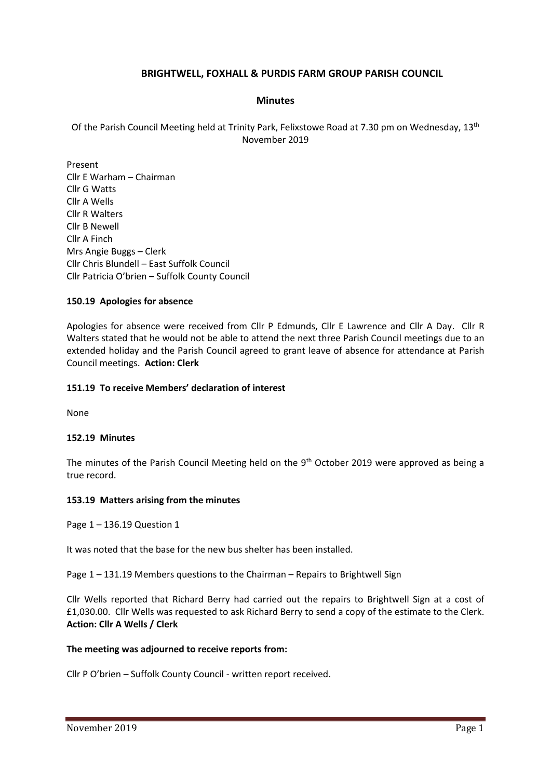# **BRIGHTWELL, FOXHALL & PURDIS FARM GROUP PARISH COUNCIL**

## **Minutes**

Of the Parish Council Meeting held at Trinity Park, Felixstowe Road at 7.30 pm on Wednesday, 13<sup>th</sup> November 2019

Present Cllr E Warham – Chairman Cllr G Watts Cllr A Wells Cllr R Walters Cllr B Newell Cllr A Finch Mrs Angie Buggs – Clerk Cllr Chris Blundell – East Suffolk Council Cllr Patricia O'brien – Suffolk County Council

## **150.19 Apologies for absence**

Apologies for absence were received from Cllr P Edmunds, Cllr E Lawrence and Cllr A Day. Cllr R Walters stated that he would not be able to attend the next three Parish Council meetings due to an extended holiday and the Parish Council agreed to grant leave of absence for attendance at Parish Council meetings. **Action: Clerk**

## **151.19 To receive Members' declaration of interest**

None

## **152.19 Minutes**

The minutes of the Parish Council Meeting held on the  $9<sup>th</sup>$  October 2019 were approved as being a true record.

## **153.19 Matters arising from the minutes**

Page 1 – 136.19 Question 1

It was noted that the base for the new bus shelter has been installed.

Page 1 – 131.19 Members questions to the Chairman – Repairs to Brightwell Sign

Cllr Wells reported that Richard Berry had carried out the repairs to Brightwell Sign at a cost of £1,030.00. Cllr Wells was requested to ask Richard Berry to send a copy of the estimate to the Clerk. **Action: Cllr A Wells / Clerk**

## **The meeting was adjourned to receive reports from:**

Cllr P O'brien – Suffolk County Council - written report received.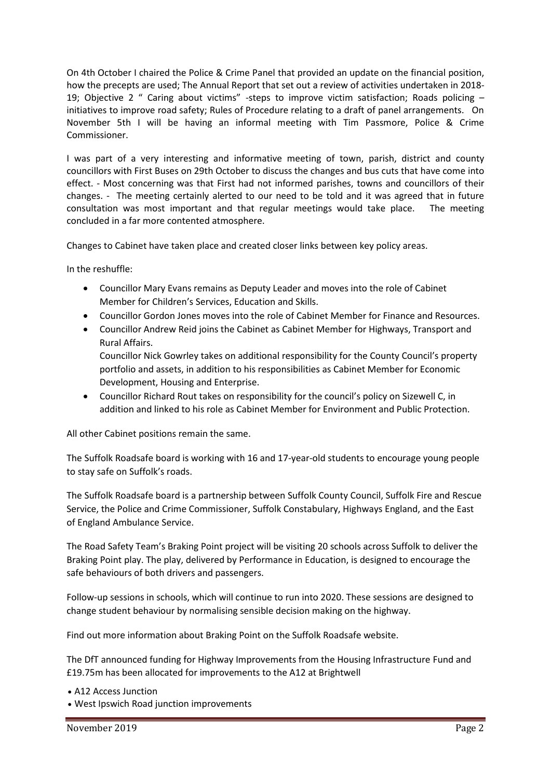On 4th October I chaired the Police & Crime Panel that provided an update on the financial position, how the precepts are used; The Annual Report that set out a review of activities undertaken in 2018- 19; Objective 2 " Caring about victims" -steps to improve victim satisfaction; Roads policing – initiatives to improve road safety; Rules of Procedure relating to a draft of panel arrangements. On November 5th I will be having an informal meeting with Tim Passmore, Police & Crime Commissioner.

I was part of a very interesting and informative meeting of town, parish, district and county councillors with First Buses on 29th October to discuss the changes and bus cuts that have come into effect. - Most concerning was that First had not informed parishes, towns and councillors of their changes. - The meeting certainly alerted to our need to be told and it was agreed that in future consultation was most important and that regular meetings would take place. The meeting concluded in a far more contented atmosphere.

Changes to Cabinet have taken place and created closer links between key policy areas.

In the reshuffle:

- Councillor Mary Evans remains as Deputy Leader and moves into the role of Cabinet Member for Children's Services, Education and Skills.
- Councillor Gordon Jones moves into the role of Cabinet Member for Finance and Resources.
- Councillor Andrew Reid joins the Cabinet as Cabinet Member for Highways, Transport and Rural Affairs.

Councillor Nick Gowrley takes on additional responsibility for the County Council's property portfolio and assets, in addition to his responsibilities as Cabinet Member for Economic Development, Housing and Enterprise.

• Councillor Richard Rout takes on responsibility for the council's policy on Sizewell C, in addition and linked to his role as Cabinet Member for Environment and Public Protection.

All other Cabinet positions remain the same.

The Suffolk Roadsafe board is working with 16 and 17-year-old students to encourage young people to stay safe on Suffolk's roads.

The Suffolk Roadsafe board is a partnership between Suffolk County Council, Suffolk Fire and Rescue Service, the Police and Crime Commissioner, Suffolk Constabulary, Highways England, and the East of England Ambulance Service.

The Road Safety Team's Braking Point project will be visiting 20 schools across Suffolk to deliver the Braking Point play. The play, delivered by Performance in Education, is designed to encourage the safe behaviours of both drivers and passengers.

Follow-up sessions in schools, which will continue to run into 2020. These sessions are designed to change student behaviour by normalising sensible decision making on the highway.

Find out more information about Braking Point on the [Suffolk Roadsafe website.](https://www.suffolkroadsafe.com/education/braking-point---passenger-and-driver-education)

The DfT announced funding for Highway Improvements from the Housing Infrastructure Fund and £19.75m has been allocated for improvements to the A12 at Brightwell

• A12 Access Junction

• West Ipswich Road junction improvements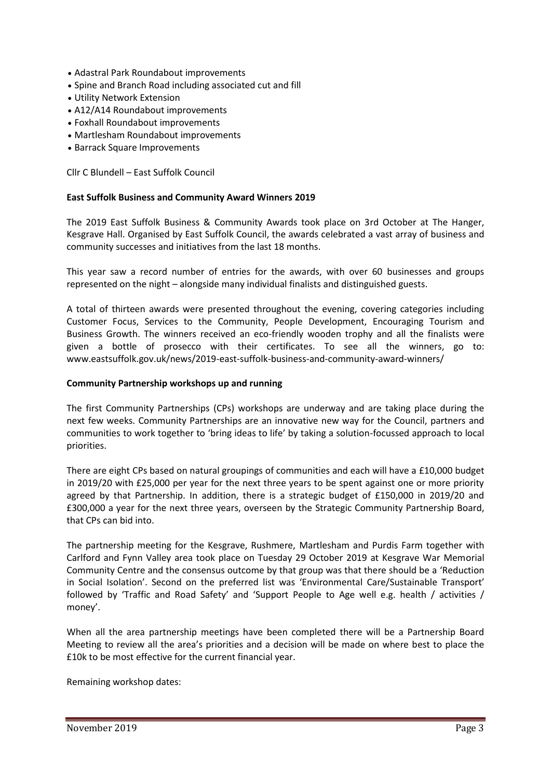- Adastral Park Roundabout improvements
- Spine and Branch Road including associated cut and fill
- Utility Network Extension
- A12/A14 Roundabout improvements
- Foxhall Roundabout improvements
- Martlesham Roundabout improvements
- Barrack Square Improvements

Cllr C Blundell – East Suffolk Council

## **East Suffolk Business and Community Award Winners 2019**

The 2019 East Suffolk Business & Community Awards took place on 3rd October at The Hanger, Kesgrave Hall. Organised by East Suffolk Council, the awards celebrated a vast array of business and community successes and initiatives from the last 18 months.

This year saw a record number of entries for the awards, with over 60 businesses and groups represented on the night – alongside many individual finalists and distinguished guests.

A total of thirteen awards were presented throughout the evening, covering categories including Customer Focus, Services to the Community, People Development, Encouraging Tourism and Business Growth. The winners received an eco-friendly wooden trophy and all the finalists were given a bottle of prosecco with their certificates. To see all the winners, go to: [www.eastsuffolk.gov.uk/news/2019-east-suffolk-business-and-community-award-winners/](http://www.eastsuffolk.gov.uk/news/2019-east-suffolk-business-and-community-award-winners/)

#### **Community Partnership workshops up and running**

The first Community Partnerships (CPs) workshops are underway and are taking place during the next few weeks. Community Partnerships are an innovative new way for the Council, partners and communities to work together to 'bring ideas to life' by taking a solution-focussed approach to local priorities.

There are eight CPs based on natural groupings of communities and each will have a £10,000 budget in 2019/20 with £25,000 per year for the next three years to be spent against one or more priority agreed by that Partnership. In addition, there is a strategic budget of £150,000 in 2019/20 and £300,000 a year for the next three years, overseen by the Strategic Community Partnership Board, that CPs can bid into.

The partnership meeting for the Kesgrave, Rushmere, Martlesham and Purdis Farm together with Carlford and Fynn Valley area took place on Tuesday 29 October 2019 at Kesgrave War Memorial Community Centre and the consensus outcome by that group was that there should be a 'Reduction in Social Isolation'. Second on the preferred list was 'Environmental Care/Sustainable Transport' followed by 'Traffic and Road Safety' and 'Support People to Age well e.g. health / activities / money'.

When all the area partnership meetings have been completed there will be a Partnership Board Meeting to review all the area's priorities and a decision will be made on where best to place the £10k to be most effective for the current financial year.

Remaining workshop dates: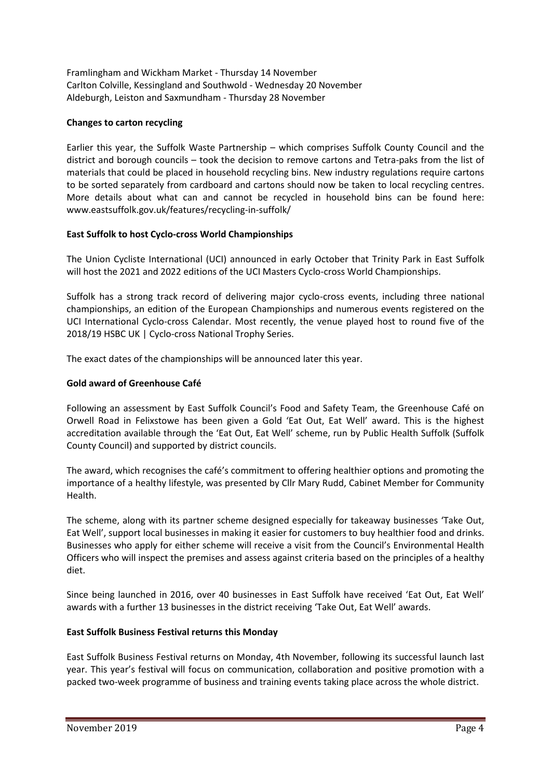Framlingham and Wickham Market - Thursday 14 November Carlton Colville, Kessingland and Southwold - Wednesday 20 November Aldeburgh, Leiston and Saxmundham - Thursday 28 November

# **Changes to carton recycling**

Earlier this year, the Suffolk Waste Partnership – which comprises Suffolk County Council and the district and borough councils – took the decision to remove cartons and Tetra-paks from the list of materials that could be placed in household recycling bins. New industry regulations require cartons to be sorted separately from cardboard and cartons should now be taken to local recycling centres. More details about what can and cannot be recycled in household bins can be found here: [www.eastsuffolk.gov.uk/features/recycling-in-suffolk/](http://www.eastsuffolk.gov.uk/features/recycling-in-suffolk/)

## **East Suffolk to host Cyclo-cross World Championships**

The Union Cycliste International (UCI) announced in early October that Trinity Park in East Suffolk will host the 2021 and 2022 editions of the UCI Masters Cyclo-cross World Championships.

Suffolk has a strong track record of delivering major cyclo-cross events, including three national championships, an edition of the European Championships and numerous events registered on the UCI International Cyclo-cross Calendar. Most recently, the venue played host to round five of the 2018/19 HSBC UK | Cyclo-cross National Trophy Series.

The exact dates of the championships will be announced later this year.

## **Gold award of Greenhouse Café**

Following an assessment by East Suffolk Council's Food and Safety Team, the Greenhouse Café on Orwell Road in Felixstowe has been given a Gold 'Eat Out, Eat Well' award. This is the highest accreditation available through the 'Eat Out, Eat Well' scheme, run by Public Health Suffolk (Suffolk County Council) and supported by district councils.

The award, which recognises the café's commitment to offering healthier options and promoting the importance of a healthy lifestyle, was presented by Cllr Mary Rudd, Cabinet Member for Community Health.

The scheme, along with its partner scheme designed especially for takeaway businesses 'Take Out, Eat Well', support local businesses in making it easier for customers to buy healthier food and drinks. Businesses who apply for either scheme will receive a visit from the Council's Environmental Health Officers who will inspect the premises and assess against criteria based on the principles of a healthy diet.

Since being launched in 2016, over 40 businesses in East Suffolk have received 'Eat Out, Eat Well' awards with a further 13 businesses in the district receiving 'Take Out, Eat Well' awards.

# **East Suffolk Business Festival returns this Monday**

East Suffolk Business Festival returns on Monday, 4th November, following its successful launch last year. This year's festival will focus on communication, collaboration and positive promotion with a packed two-week programme of business and training events taking place across the whole district.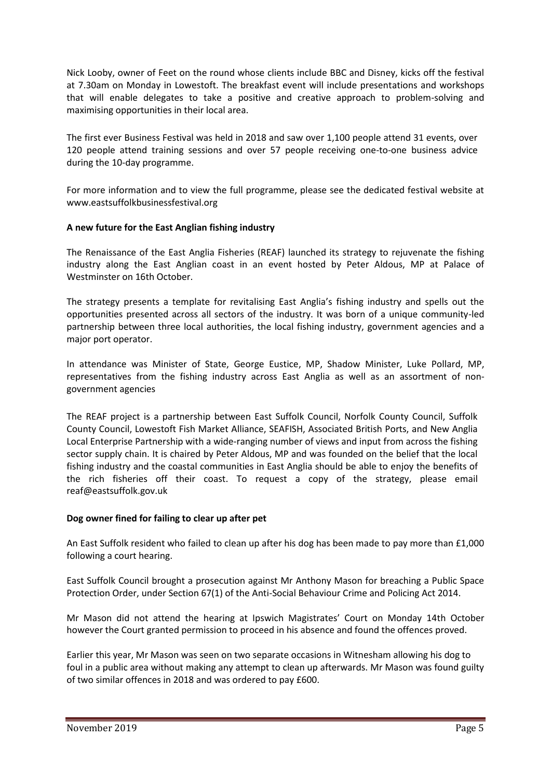Nick Looby, owner of Feet on the round whose clients include BBC and Disney, kicks off the festival at 7.30am on Monday in Lowestoft. The breakfast event will include presentations and workshops that will enable delegates to take a positive and creative approach to problem-solving and maximising opportunities in their local area.

The first ever Business Festival was held in 2018 and saw over 1,100 people attend 31 events, over 120 people attend training sessions and over 57 people receiving one-to-one business advice during the 10-day programme.

For more information and to view the full programme, please see the dedicated festival website at [www.eastsuffolkbusinessfestival.org](http://www.eastsuffolkbusinessfestival.org/)

## **A new future for the East Anglian fishing industry**

The Renaissance of the East Anglia Fisheries (REAF) launched its strategy to rejuvenate the fishing industry along the East Anglian coast in an event hosted by Peter Aldous, MP at Palace of Westminster on 16th October.

The strategy presents a template for revitalising East Anglia's fishing industry and spells out the opportunities presented across all sectors of the industry. It was born of a unique community-led partnership between three local authorities, the local fishing industry, government agencies and a major port operator.

In attendance was Minister of State, George Eustice, MP, Shadow Minister, Luke Pollard, MP, representatives from the fishing industry across East Anglia as well as an assortment of nongovernment agencies

The REAF project is a partnership between East Suffolk Council, Norfolk County Council, Suffolk County Council, Lowestoft Fish Market Alliance, SEAFISH, Associated British Ports, and New Anglia Local Enterprise Partnership with a wide-ranging number of views and input from across the fishing sector supply chain. It is chaired by Peter Aldous, MP and was founded on the belief that the local fishing industry and the coastal communities in East Anglia should be able to enjoy the benefits of the rich fisheries off their coast. To request a copy of the strategy, please email [reaf@eastsuffolk.gov.uk](mailto:reaf@eastsuffolk.gov.uk)

# **Dog owner fined for failing to clear up after pet**

An East Suffolk resident who failed to clean up after his dog has been made to pay more than £1,000 following a court hearing.

East Suffolk Council brought a prosecution against Mr Anthony Mason for breaching a Public Space Protection Order, under Section 67(1) of the Anti-Social Behaviour Crime and Policing Act 2014.

Mr Mason did not attend the hearing at Ipswich Magistrates' Court on Monday 14th October however the Court granted permission to proceed in his absence and found the offences proved.

Earlier this year, Mr Mason was seen on two separate occasions in Witnesham allowing his dog to foul in a public area without making any attempt to clean up afterwards. Mr Mason was found guilty of two similar offences in 2018 and was ordered to pay £600.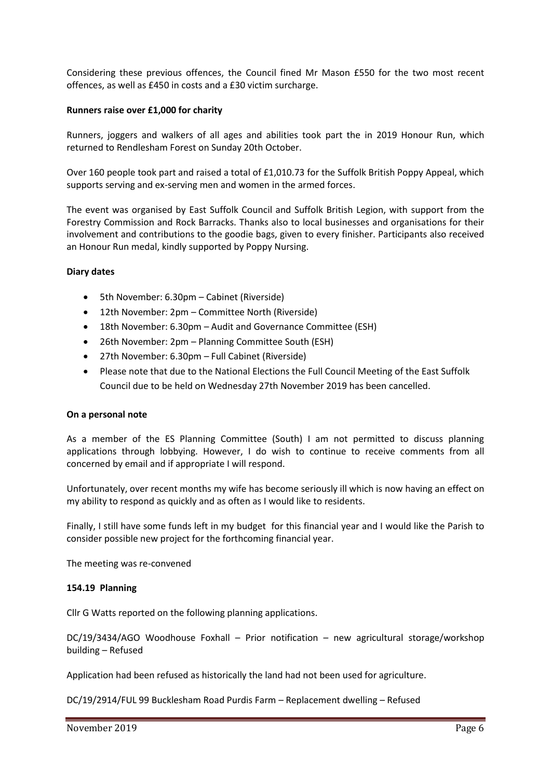Considering these previous offences, the Council fined Mr Mason £550 for the two most recent offences, as well as £450 in costs and a £30 victim surcharge.

### **Runners raise over £1,000 for charity**

Runners, joggers and walkers of all ages and abilities took part the in 2019 Honour Run, which returned to Rendlesham Forest on Sunday 20th October.

Over 160 people took part and raised a total of £1,010.73 for the Suffolk British Poppy Appeal, which supports serving and ex-serving men and women in the armed forces.

The event was organised by East Suffolk Council and Suffolk British Legion, with support from the Forestry Commission and Rock Barracks. Thanks also to local businesses and organisations for their involvement and contributions to the goodie bags, given to every finisher. Participants also received an Honour Run medal, kindly supported by Poppy Nursing.

#### **Diary dates**

- 5th November: 6.30pm Cabinet (Riverside)
- 12th November: 2pm Committee North (Riverside)
- 18th November: 6.30pm Audit and Governance Committee (ESH)
- 26th November: 2pm Planning Committee South (ESH)
- 27th November: 6.30pm Full Cabinet (Riverside)
- Please note that due to the National Elections the Full Council Meeting of the East Suffolk Council due to be held on Wednesday 27th November 2019 has been cancelled.

#### **On a personal note**

As a member of the ES Planning Committee (South) I am not permitted to discuss planning applications through lobbying. However, I do wish to continue to receive comments from all concerned by email and if appropriate I will respond.

Unfortunately, over recent months my wife has become seriously ill which is now having an effect on my ability to respond as quickly and as often as I would like to residents.

Finally, I still have some funds left in my budget for this financial year and I would like the Parish to consider possible new project for the forthcoming financial year.

The meeting was re-convened

#### **154.19 Planning**

Cllr G Watts reported on the following planning applications.

DC/19/3434/AGO Woodhouse Foxhall – Prior notification – new agricultural storage/workshop building – Refused

Application had been refused as historically the land had not been used for agriculture.

DC/19/2914/FUL 99 Bucklesham Road Purdis Farm – Replacement dwelling – Refused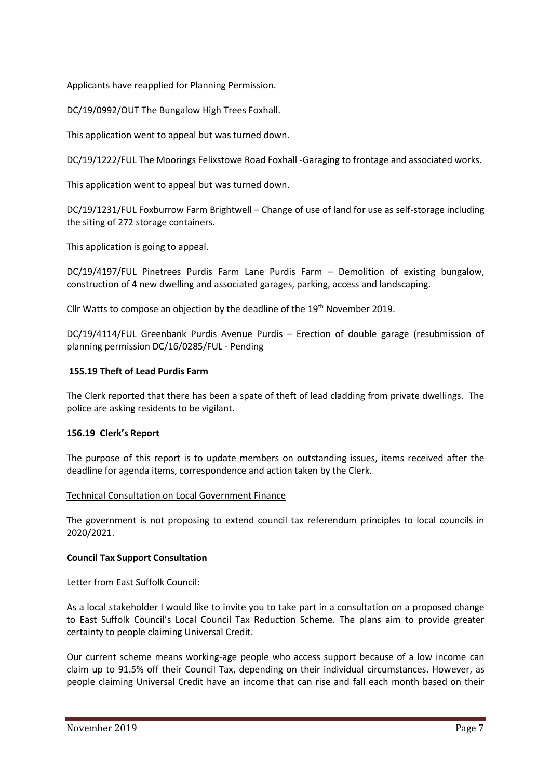Applicants have reapplied for Planning Permission.

DC/19/0992/OUT The Bungalow High Trees Foxhall.

This application went to appeal but was turned down.

DC/19/1222/FUL The Moorings Felixstowe Road Foxhall -Garaging to frontage and associated works.

This application went to appeal but was turned down.

DC/19/1231/FUL Foxburrow Farm Brightwell – Change of use of land for use as self-storage including the siting of 272 storage containers.

This application is going to appeal.

DC/19/4197/FUL Pinetrees Purdis Farm Lane Purdis Farm – Demolition of existing bungalow, construction of 4 new dwelling and associated garages, parking, access and landscaping.

Cllr Watts to compose an objection by the deadline of the 19<sup>th</sup> November 2019.

DC/19/4114/FUL Greenbank Purdis Avenue Purdis – Erection of double garage (resubmission of planning permission DC/16/0285/FUL - Pending

#### **155.19 Theft of Lead Purdis Farm**

The Clerk reported that there has been a spate of theft of lead cladding from private dwellings. The police are asking residents to be vigilant.

## **156.19 Clerk's Report**

The purpose of this report is to update members on outstanding issues, items received after the deadline for agenda items, correspondence and action taken by the Clerk.

## Technical Consultation on Local Government Finance

The government is not proposing to extend council tax referendum principles to local councils in 2020/2021.

## **Council Tax Support Consultation**

Letter from East Suffolk Council:

As a local stakeholder I would like to invite you to take part in a consultation on a proposed change to East Suffolk Council's Local Council Tax Reduction Scheme. The plans aim to provide greater certainty to people claiming Universal Credit.

Our current scheme means working-age people who access support because of a low income can claim up to 91.5% off their Council Tax, depending on their individual circumstances. However, as people claiming Universal Credit have an income that can rise and fall each month based on their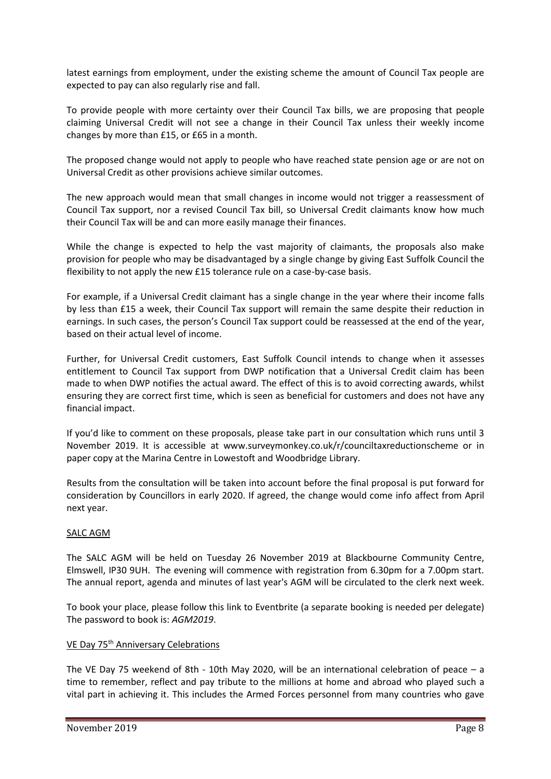latest earnings from employment, under the existing scheme the amount of Council Tax people are expected to pay can also regularly rise and fall.

To provide people with more certainty over their Council Tax bills, we are proposing that people claiming Universal Credit will not see a change in their Council Tax unless their weekly income changes by more than £15, or £65 in a month.

The proposed change would not apply to people who have reached state pension age or are not on Universal Credit as other provisions achieve similar outcomes.

The new approach would mean that small changes in income would not trigger a reassessment of Council Tax support, nor a revised Council Tax bill, so Universal Credit claimants know how much their Council Tax will be and can more easily manage their finances.

While the change is expected to help the vast majority of claimants, the proposals also make provision for people who may be disadvantaged by a single change by giving East Suffolk Council the flexibility to not apply the new £15 tolerance rule on a case-by-case basis.

For example, if a Universal Credit claimant has a single change in the year where their income falls by less than £15 a week, their Council Tax support will remain the same despite their reduction in earnings. In such cases, the person's Council Tax support could be reassessed at the end of the year, based on their actual level of income.

Further, for Universal Credit customers, East Suffolk Council intends to change when it assesses entitlement to Council Tax support from DWP notification that a Universal Credit claim has been made to when DWP notifies the actual award. The effect of this is to avoid correcting awards, whilst ensuring they are correct first time, which is seen as beneficial for customers and does not have any financial impact.

If you'd like to comment on these proposals, please take part in our consultation which runs until 3 November 2019. It is accessible at www.surveymonkey.co.uk/r/counciltaxreductionscheme or in paper copy at the Marina Centre in Lowestoft and Woodbridge Library.

Results from the consultation will be taken into account before the final proposal is put forward for consideration by Councillors in early 2020. If agreed, the change would come info affect from April next year.

# SALC AGM

The SALC AGM will be held on Tuesday 26 November 2019 at Blackbourne Community Centre, Elmswell, IP30 9UH. The evening will commence with registration from 6.30pm for a 7.00pm start. The annual report, agenda and minutes of last year's AGM will be circulated to the clerk next week.

To book your place, please [follow this link](https://www.eventbrite.com/e/salc-annual-general-meeting-2019-tickets-76270149069) to Eventbrite (a separate booking is needed per delegate) The password to book is: *AGM2019*.

# VE Day 75<sup>th</sup> Anniversary Celebrations

The VE Day 75 weekend of 8th - 10th May 2020, will be an international celebration of peace – a time to remember, reflect and pay tribute to the millions at home and abroad who played such a vital part in achieving it. This includes the Armed Forces personnel from many countries who gave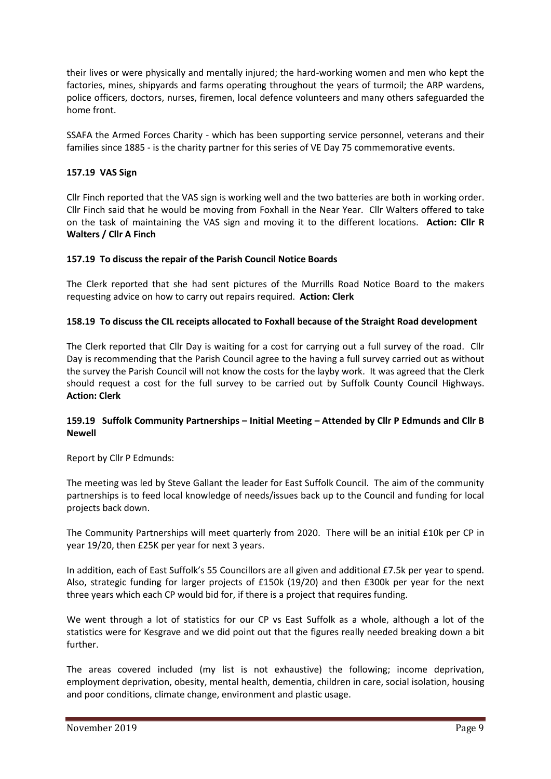their lives or were physically and mentally injured; the hard-working women and men who kept the factories, mines, shipyards and farms operating throughout the years of turmoil; the ARP wardens, police officers, doctors, nurses, firemen, local defence volunteers and many others safeguarded the home front.

SSAFA the Armed Forces Charity - which has been supporting service personnel, veterans and their families since 1885 - is the charity partner for this series of VE Day 75 commemorative events.

## **157.19 VAS Sign**

Cllr Finch reported that the VAS sign is working well and the two batteries are both in working order. Cllr Finch said that he would be moving from Foxhall in the Near Year. Cllr Walters offered to take on the task of maintaining the VAS sign and moving it to the different locations. **Action: Cllr R Walters / Cllr A Finch**

## **157.19 To discuss the repair of the Parish Council Notice Boards**

The Clerk reported that she had sent pictures of the Murrills Road Notice Board to the makers requesting advice on how to carry out repairs required. **Action: Clerk**

## **158.19 To discuss the CIL receipts allocated to Foxhall because of the Straight Road development**

The Clerk reported that Cllr Day is waiting for a cost for carrying out a full survey of the road. Cllr Day is recommending that the Parish Council agree to the having a full survey carried out as without the survey the Parish Council will not know the costs for the layby work. It was agreed that the Clerk should request a cost for the full survey to be carried out by Suffolk County Council Highways. **Action: Clerk**

## **159.19 Suffolk Community Partnerships – Initial Meeting – Attended by Cllr P Edmunds and Cllr B Newell**

Report by Cllr P Edmunds:

The meeting was led by Steve Gallant the leader for East Suffolk Council. The aim of the community partnerships is to feed local knowledge of needs/issues back up to the Council and funding for local projects back down.

The Community Partnerships will meet quarterly from 2020. There will be an initial £10k per CP in year 19/20, then £25K per year for next 3 years.

In addition, each of East Suffolk's 55 Councillors are all given and additional £7.5k per year to spend. Also, strategic funding for larger projects of £150k (19/20) and then £300k per year for the next three years which each CP would bid for, if there is a project that requires funding.

We went through a lot of statistics for our CP vs East Suffolk as a whole, although a lot of the statistics were for Kesgrave and we did point out that the figures really needed breaking down a bit further.

The areas covered included (my list is not exhaustive) the following; income deprivation, employment deprivation, obesity, mental health, dementia, children in care, social isolation, housing and poor conditions, climate change, environment and plastic usage.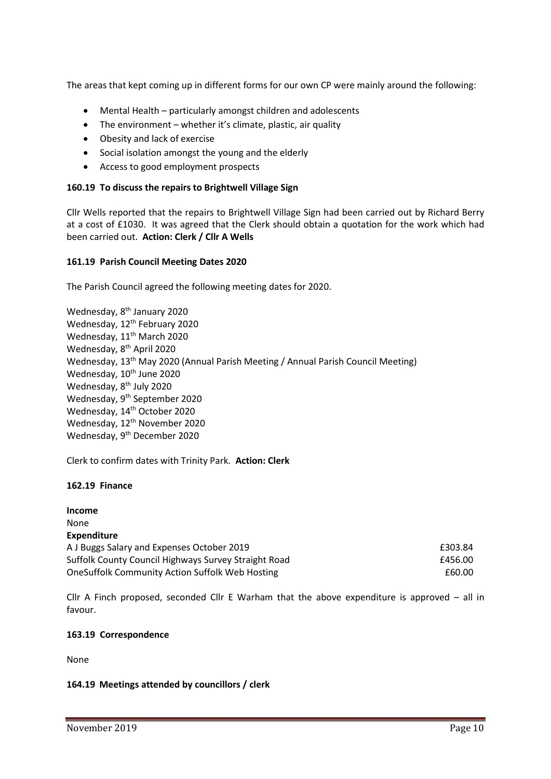The areas that kept coming up in different forms for our own CP were mainly around the following:

- Mental Health particularly amongst children and adolescents
- The environment whether it's climate, plastic, air quality
- Obesity and lack of exercise
- Social isolation amongst the young and the elderly
- Access to good employment prospects

## **160.19 To discuss the repairs to Brightwell Village Sign**

Cllr Wells reported that the repairs to Brightwell Village Sign had been carried out by Richard Berry at a cost of £1030. It was agreed that the Clerk should obtain a quotation for the work which had been carried out. **Action: Clerk / Cllr A Wells**

## **161.19 Parish Council Meeting Dates 2020**

The Parish Council agreed the following meeting dates for 2020.

Wednesday, 8<sup>th</sup> January 2020 Wednesday, 12<sup>th</sup> February 2020 Wednesday, 11<sup>th</sup> March 2020 Wednesday, 8<sup>th</sup> April 2020 Wednesday, 13<sup>th</sup> May 2020 (Annual Parish Meeting / Annual Parish Council Meeting) Wednesday, 10<sup>th</sup> June 2020 Wednesday, 8<sup>th</sup> July 2020 Wednesday, 9<sup>th</sup> September 2020 Wednesday, 14<sup>th</sup> October 2020 Wednesday, 12<sup>th</sup> November 2020 Wednesday, 9<sup>th</sup> December 2020

Clerk to confirm dates with Trinity Park. **Action: Clerk**

## **162.19 Finance**

**Income** None **Expenditure** A J Buggs Salary and Expenses October 2019 **EXPENSION** E303.84 Suffolk County Council Highways Survey Straight Road **E456.00** OneSuffolk Community Action Suffolk Web Hosting **Example 2018** 2000 2018

Cllr A Finch proposed, seconded Cllr E Warham that the above expenditure is approved – all in favour.

## **163.19 Correspondence**

None

## **164.19 Meetings attended by councillors / clerk**